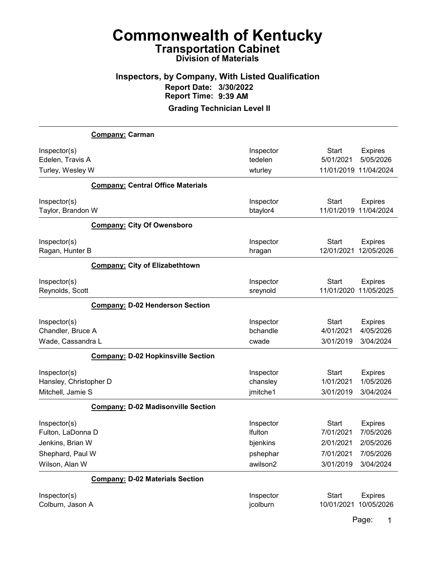#### Inspectors, by Company, With Listed Qualification Report Date: 3/30/2022 Report Time: 9:39 AM

Grading Technician Level II

|                        | Company: Carman                           |                |                       |                |
|------------------------|-------------------------------------------|----------------|-----------------------|----------------|
| Inspector(s)           |                                           | Inspector      | <b>Start</b>          | <b>Expires</b> |
| Edelen, Travis A       |                                           | tedelen        | 5/01/2021             | 5/05/2026      |
| Turley, Wesley W       |                                           | wturley        | 11/01/2019 11/04/2024 |                |
|                        | <b>Company: Central Office Materials</b>  |                |                       |                |
| Inspector(s)           |                                           | Inspector      | <b>Start</b>          | <b>Expires</b> |
| Taylor, Brandon W      |                                           | btaylor4       | 11/01/2019            | 11/04/2024     |
|                        | <b>Company: City Of Owensboro</b>         |                |                       |                |
| Inspector(s)           |                                           | Inspector      | <b>Start</b>          | <b>Expires</b> |
| Ragan, Hunter B        |                                           | hragan         | 12/01/2021            | 12/05/2026     |
|                        | <b>Company: City of Elizabethtown</b>     |                |                       |                |
| Inspector(s)           |                                           | Inspector      | <b>Start</b>          | <b>Expires</b> |
| Reynolds, Scott        |                                           | sreynold       | 11/01/2020            | 11/05/2025     |
|                        | <b>Company: D-02 Henderson Section</b>    |                |                       |                |
| Inspector(s)           |                                           | Inspector      | <b>Start</b>          | <b>Expires</b> |
| Chandler, Bruce A      |                                           | bchandle       | 4/01/2021             | 4/05/2026      |
| Wade, Cassandra L      |                                           | cwade          | 3/01/2019             | 3/04/2024      |
|                        | <b>Company: D-02 Hopkinsville Section</b> |                |                       |                |
| Inspector(s)           |                                           | Inspector      | <b>Start</b>          | <b>Expires</b> |
| Hansley, Christopher D |                                           | chansley       | 1/01/2021             | 1/05/2026      |
| Mitchell, Jamie S      |                                           | jmitche1       | 3/01/2019             | 3/04/2024      |
|                        | <b>Company: D-02 Madisonville Section</b> |                |                       |                |
| Inspector(s)           |                                           | Inspector      | <b>Start</b>          | <b>Expires</b> |
| Fulton, LaDonna D      |                                           | <b>Ifulton</b> | 7/01/2021             | 7/05/2026      |
| Jenkins, Brian W       |                                           | bjenkins       | 2/01/2021             | 2/05/2026      |
| Shephard, Paul W       |                                           | pshephar       | 7/01/2021             | 7/05/2026      |
| Wilson, Alan W         |                                           | awilson2       | 3/01/2019             | 3/04/2024      |
|                        | <b>Company: D-02 Materials Section</b>    |                |                       |                |
| Inspector(s)           |                                           | Inspector      | <b>Start</b>          | <b>Expires</b> |
| Colburn, Jason A       |                                           | jcolburn       | 10/01/2021            | 10/05/2026     |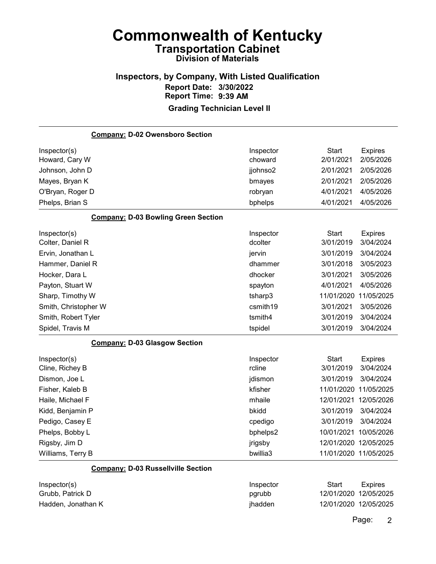#### Inspectors, by Company, With Listed Qualification Report Date: 3/30/2022 Report Time: 9:39 AM Grading Technician Level II

| <b>Company: D-02 Owensboro Section</b>     |           |                       |                       |
|--------------------------------------------|-----------|-----------------------|-----------------------|
| Inspector(s)                               | Inspector | <b>Start</b>          | <b>Expires</b>        |
| Howard, Cary W                             | choward   | 2/01/2021             | 2/05/2026             |
| Johnson, John D                            | jjohnso2  | 2/01/2021             | 2/05/2026             |
| Mayes, Bryan K                             | bmayes    | 2/01/2021             | 2/05/2026             |
| O'Bryan, Roger D                           | robryan   | 4/01/2021             | 4/05/2026             |
| Phelps, Brian S                            | bphelps   | 4/01/2021             | 4/05/2026             |
| <b>Company: D-03 Bowling Green Section</b> |           |                       |                       |
| Inspector(s)                               | Inspector | <b>Start</b>          | <b>Expires</b>        |
| Colter, Daniel R                           | dcolter   | 3/01/2019             | 3/04/2024             |
| Ervin, Jonathan L                          | jervin    | 3/01/2019             | 3/04/2024             |
| Hammer, Daniel R                           | dhammer   | 3/01/2018             | 3/05/2023             |
| Hocker, Dara L                             | dhocker   | 3/01/2021             | 3/05/2026             |
| Payton, Stuart W                           | spayton   | 4/01/2021             | 4/05/2026             |
| Sharp, Timothy W                           | tsharp3   | 11/01/2020            | 11/05/2025            |
| Smith, Christopher W                       | csmith19  | 3/01/2021             | 3/05/2026             |
| Smith, Robert Tyler                        | tsmith4   | 3/01/2019             | 3/04/2024             |
| Spidel, Travis M                           | tspidel   | 3/01/2019             | 3/04/2024             |
| <b>Company: D-03 Glasgow Section</b>       |           |                       |                       |
| Inspector(s)                               | Inspector | Start                 | <b>Expires</b>        |
| Cline, Richey B                            | rcline    | 3/01/2019             | 3/04/2024             |
| Dismon, Joe L                              | jdismon   | 3/01/2019             | 3/04/2024             |
| Fisher, Kaleb B                            | kfisher   | 11/01/2020 11/05/2025 |                       |
| Haile, Michael F                           | mhaile    | 12/01/2021 12/05/2026 |                       |
| Kidd, Benjamin P                           | bkidd     | 3/01/2019             | 3/04/2024             |
| Pedigo, Casey E                            | cpedigo   | 3/01/2019             | 3/04/2024             |
| Phelps, Bobby L                            | bphelps2  | 10/01/2021            | 10/05/2026            |
| Rigsby, Jim D                              | jrigsby   |                       | 12/01/2020 12/05/2025 |
| Williams, Terry B                          | bwillia3  | 11/01/2020 11/05/2025 |                       |
| <b>Company: D-03 Russellville Section</b>  |           |                       |                       |
| Inspector(s)                               | Inspector | <b>Start</b>          | <b>Expires</b>        |

Grubb, Patrick D **pgrubb** 12/01/2020 12/05/2025 Hadden, Jonathan K **in a stuart and the stuart of the 12/01/2020** 12/05/2025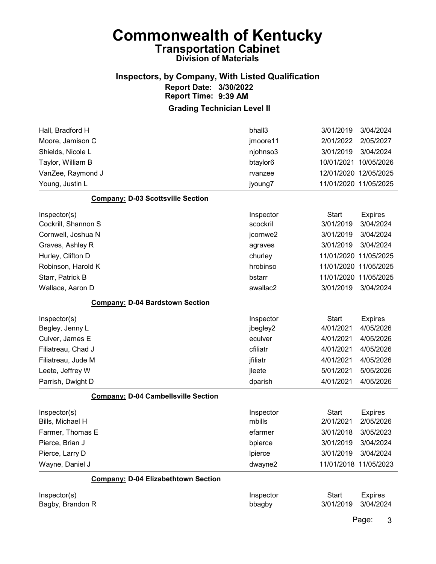## Inspectors, by Company, With Listed Qualification Report Date: 3/30/2022 Report Time: 9:39 AM

Grading Technician Level II

| Hall, Bradford H                           | bhall3    | 3/01/2019             | 3/04/2024      |
|--------------------------------------------|-----------|-----------------------|----------------|
| Moore, Jamison C                           | jmoore11  | 2/01/2022             | 2/05/2027      |
| Shields, Nicole L                          | njohnso3  | 3/01/2019             | 3/04/2024      |
| Taylor, William B                          | btaylor6  | 10/01/2021            | 10/05/2026     |
| VanZee, Raymond J                          | rvanzee   | 12/01/2020 12/05/2025 |                |
| Young, Justin L                            | jyoung7   | 11/01/2020 11/05/2025 |                |
| <b>Company: D-03 Scottsville Section</b>   |           |                       |                |
| Inspector(s)                               | Inspector | <b>Start</b>          | <b>Expires</b> |
| Cockrill, Shannon S                        | scockril  | 3/01/2019             | 3/04/2024      |
| Cornwell, Joshua N                         | jcornwe2  | 3/01/2019             | 3/04/2024      |
| Graves, Ashley R                           | agraves   | 3/01/2019             | 3/04/2024      |
| Hurley, Clifton D                          | churley   | 11/01/2020 11/05/2025 |                |
| Robinson, Harold K                         | hrobinso  | 11/01/2020 11/05/2025 |                |
| Starr, Patrick B                           | bstarr    | 11/01/2020 11/05/2025 |                |
| Wallace, Aaron D                           | awallac2  | 3/01/2019             | 3/04/2024      |
| <b>Company: D-04 Bardstown Section</b>     |           |                       |                |
| Inspector(s)                               | Inspector | <b>Start</b>          | <b>Expires</b> |
| Begley, Jenny L                            | jbegley2  | 4/01/2021             | 4/05/2026      |
| Culver, James E                            | eculver   | 4/01/2021             | 4/05/2026      |
| Filiatreau, Chad J                         | cfiliatr  | 4/01/2021             | 4/05/2026      |
| Filiatreau, Jude M                         | jfiliatr  | 4/01/2021             | 4/05/2026      |
| Leete, Jeffrey W                           | jleete    | 5/01/2021             | 5/05/2026      |
| Parrish, Dwight D                          | dparish   | 4/01/2021             | 4/05/2026      |
| <b>Company: D-04 Cambellsville Section</b> |           |                       |                |
| Inspector(s)                               | Inspector | <b>Start</b>          | <b>Expires</b> |
| Bills, Michael H                           | mbills    | 2/01/2021             | 2/05/2026      |
| Farmer, Thomas E                           | efarmer   | 3/01/2018             | 3/05/2023      |
| Pierce, Brian J                            | bpierce   | 3/01/2019             | 3/04/2024      |
| Pierce, Larry D                            | Ipierce   | 3/01/2019             | 3/04/2024      |
| Wayne, Daniel J                            | dwayne2   | 11/01/2018 11/05/2023 |                |
| <b>Company: D-04 Elizabethtown Section</b> |           |                       |                |
| Inspector(s)                               | Inspector | <b>Start</b>          | <b>Expires</b> |
| Bagby, Brandon R                           | bbagby    | 3/01/2019             | 3/04/2024      |
|                                            |           |                       |                |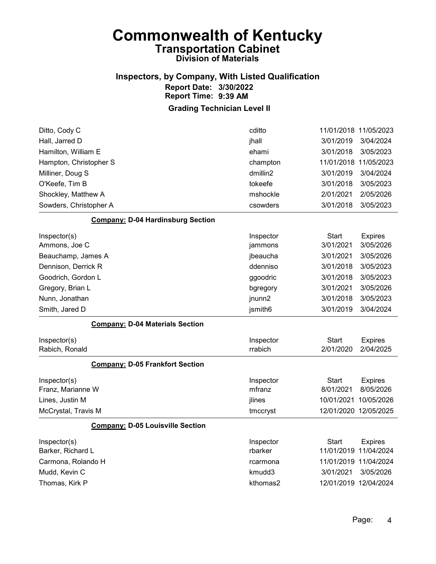#### Inspectors, by Company, With Listed Qualification Report Date: 3/30/2022 Report Time: 9:39 AM

| Ditto, Cody C                            | cditto    |              | 11/01/2018 11/05/2023 |
|------------------------------------------|-----------|--------------|-----------------------|
| Hall, Jarred D                           | jhall     | 3/01/2019    | 3/04/2024             |
| Hamilton, William E                      | ehami     | 3/01/2018    | 3/05/2023             |
| Hampton, Christopher S                   | champton  | 11/01/2018   | 11/05/2023            |
| Milliner, Doug S                         | dmillin2  | 3/01/2019    | 3/04/2024             |
| O'Keefe, Tim B                           | tokeefe   | 3/01/2018    | 3/05/2023             |
| Shockley, Matthew A                      | mshockle  | 2/01/2021    | 2/05/2026             |
| Sowders, Christopher A                   | csowders  | 3/01/2018    | 3/05/2023             |
| <b>Company: D-04 Hardinsburg Section</b> |           |              |                       |
| Inspector(s)                             | Inspector | Start        | <b>Expires</b>        |
| Ammons, Joe C                            | jammons   | 3/01/2021    | 3/05/2026             |
| Beauchamp, James A                       | jbeaucha  | 3/01/2021    | 3/05/2026             |
| Dennison, Derrick R                      | ddenniso  | 3/01/2018    | 3/05/2023             |
| Goodrich, Gordon L                       | ggoodric  | 3/01/2018    | 3/05/2023             |
| Gregory, Brian L                         | bgregory  | 3/01/2021    | 3/05/2026             |
| Nunn, Jonathan                           | jnunn2    | 3/01/2018    | 3/05/2023             |
| Smith, Jared D                           | jsmith6   | 3/01/2019    | 3/04/2024             |
| <b>Company: D-04 Materials Section</b>   |           |              |                       |
| Inspector(s)                             | Inspector | <b>Start</b> | <b>Expires</b>        |
| Rabich, Ronald                           | rrabich   | 2/01/2020    | 2/04/2025             |
| <b>Company: D-05 Frankfort Section</b>   |           |              |                       |
| Inspector(s)                             | Inspector | <b>Start</b> | <b>Expires</b>        |
| Franz, Marianne W                        | mfranz    | 8/01/2021    | 8/05/2026             |
| Lines, Justin M                          | jlines    | 10/01/2021   | 10/05/2026            |
| McCrystal, Travis M                      | tmccryst  |              | 12/01/2020 12/05/2025 |
| <b>Company: D-05 Louisville Section</b>  |           |              |                       |
| Inspector(s)                             | Inspector | Start        | <b>Expires</b>        |
| Barker, Richard L                        | rbarker   |              | 11/01/2019 11/04/2024 |
| Carmona, Rolando H                       | rcarmona  |              | 11/01/2019 11/04/2024 |
| Mudd, Kevin C                            | kmudd3    | 3/01/2021    | 3/05/2026             |
| Thomas, Kirk P                           | kthomas2  |              | 12/01/2019 12/04/2024 |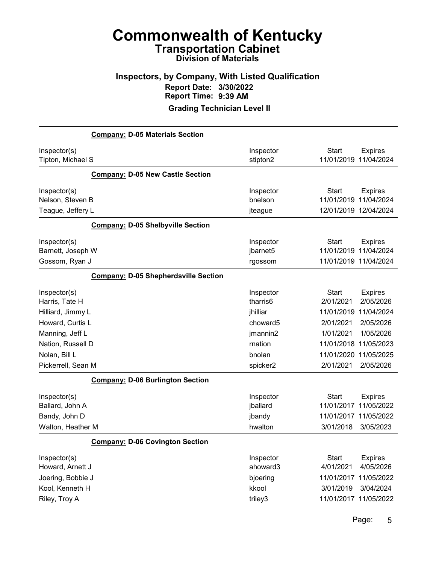### Inspectors, by Company, With Listed Qualification Report Date: 3/30/2022 Report Time: 9:39 AM

Grading Technician Level II

|                                                                                           | <b>Company: D-05 Materials Section</b>      |                                                       |                                                      |                                                                                 |
|-------------------------------------------------------------------------------------------|---------------------------------------------|-------------------------------------------------------|------------------------------------------------------|---------------------------------------------------------------------------------|
| Inspector(s)<br>Tipton, Michael S                                                         |                                             | Inspector<br>stipton2                                 | <b>Start</b><br>11/01/2019                           | <b>Expires</b><br>11/04/2024                                                    |
|                                                                                           | <b>Company: D-05 New Castle Section</b>     |                                                       |                                                      |                                                                                 |
| Inspector(s)<br>Nelson, Steven B<br>Teague, Jeffery L                                     |                                             | Inspector<br>bnelson<br>jteague                       | <b>Start</b><br>11/01/2019                           | <b>Expires</b><br>11/04/2024<br>12/01/2019 12/04/2024                           |
|                                                                                           | <b>Company: D-05 Shelbyville Section</b>    |                                                       |                                                      |                                                                                 |
| Inspector(s)<br>Barnett, Joseph W<br>Gossom, Ryan J                                       |                                             | Inspector<br>jbarnet5<br>rgossom                      | <b>Start</b><br>11/01/2019                           | <b>Expires</b><br>11/04/2024<br>11/01/2019 11/04/2024                           |
|                                                                                           | <b>Company: D-05 Shepherdsville Section</b> |                                                       |                                                      |                                                                                 |
| Inspector(s)<br>Harris, Tate H<br>Hilliard, Jimmy L                                       |                                             | Inspector<br>tharris6<br>jhilliar                     | <b>Start</b><br>2/01/2021<br>11/01/2019              | <b>Expires</b><br>2/05/2026<br>11/04/2024                                       |
| Howard, Curtis L                                                                          |                                             | choward5                                              | 2/01/2021<br>1/01/2021                               | 2/05/2026<br>1/05/2026                                                          |
| Manning, Jeff L<br>Nation, Russell D                                                      |                                             | jmannin2<br>rnation                                   | 11/01/2018                                           | 11/05/2023                                                                      |
| Nolan, Bill L<br>Pickerrell, Sean M                                                       |                                             | bnolan<br>spicker2                                    | 11/01/2020<br>2/01/2021                              | 11/05/2025<br>2/05/2026                                                         |
|                                                                                           | <b>Company: D-06 Burlington Section</b>     |                                                       |                                                      |                                                                                 |
| Inspector(s)<br>Ballard, John A<br>Bandy, John D<br>Walton, Heather M                     |                                             | Inspector<br>jballard<br>jbandy<br>hwalton            | <b>Start</b><br>11/01/2017<br>3/01/2018              | <b>Expires</b><br>11/05/2022<br>11/01/2017 11/05/2022<br>3/05/2023              |
|                                                                                           | <b>Company: D-06 Covington Section</b>      |                                                       |                                                      |                                                                                 |
| Inspector(s)<br>Howard, Arnett J<br>Joering, Bobbie J<br>Kool, Kenneth H<br>Riley, Troy A |                                             | Inspector<br>ahoward3<br>bjoering<br>kkool<br>triley3 | <b>Start</b><br>4/01/2021<br>11/01/2017<br>3/01/2019 | <b>Expires</b><br>4/05/2026<br>11/05/2022<br>3/04/2024<br>11/01/2017 11/05/2022 |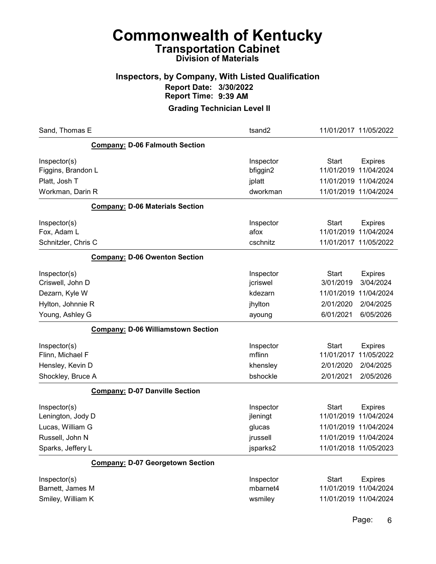### Inspectors, by Company, With Listed Qualification Report Date: 3/30/2022 Report Time: 9:39 AM

| Sand, Thomas E                            | tsand2    | 11/01/2017 11/05/2022          |
|-------------------------------------------|-----------|--------------------------------|
| <b>Company: D-06 Falmouth Section</b>     |           |                                |
| Inspector(s)                              | Inspector | Start<br><b>Expires</b>        |
| Figgins, Brandon L                        | bfiggin2  | 11/01/2019 11/04/2024          |
| Platt, Josh T                             | jplatt    | 11/01/2019 11/04/2024          |
| Workman, Darin R                          | dworkman  | 11/01/2019 11/04/2024          |
| <b>Company: D-06 Materials Section</b>    |           |                                |
| Inspector(s)                              | Inspector | <b>Start</b><br><b>Expires</b> |
| Fox, Adam L                               | afox      | 11/01/2019<br>11/04/2024       |
| Schnitzler, Chris C                       | cschnitz  | 11/01/2017 11/05/2022          |
| <b>Company: D-06 Owenton Section</b>      |           |                                |
| Inspector(s)                              | Inspector | Start<br><b>Expires</b>        |
| Criswell, John D                          | jcriswel  | 3/04/2024<br>3/01/2019         |
| Dezarn, Kyle W                            | kdezarn   | 11/01/2019<br>11/04/2024       |
| Hylton, Johnnie R                         | jhylton   | 2/04/2025<br>2/01/2020         |
| Young, Ashley G                           | ayoung    | 6/01/2021<br>6/05/2026         |
| <b>Company: D-06 Williamstown Section</b> |           |                                |
| Inspector(s)                              | Inspector | <b>Start</b><br><b>Expires</b> |
| Flinn, Michael F                          | mflinn    | 11/05/2022<br>11/01/2017       |
| Hensley, Kevin D                          | khensley  | 2/04/2025<br>2/01/2020         |
| Shockley, Bruce A                         | bshockle  | 2/01/2021<br>2/05/2026         |
| <b>Company: D-07 Danville Section</b>     |           |                                |
| Inspector(s)                              | Inspector | Start<br><b>Expires</b>        |
| Lenington, Jody D                         | jleningt  | 11/01/2019 11/04/2024          |
| Lucas, William G                          | glucas    | 11/01/2019 11/04/2024          |
| Russell, John N                           | jrussell  | 11/01/2019 11/04/2024          |
| Sparks, Jeffery L                         | jsparks2  | 11/01/2018 11/05/2023          |
| <b>Company: D-07 Georgetown Section</b>   |           |                                |
| Inspector(s)                              | Inspector | <b>Start</b><br><b>Expires</b> |
| Barnett, James M                          | mbarnet4  | 11/01/2019 11/04/2024          |
| Smiley, William K                         | wsmiley   | 11/01/2019 11/04/2024          |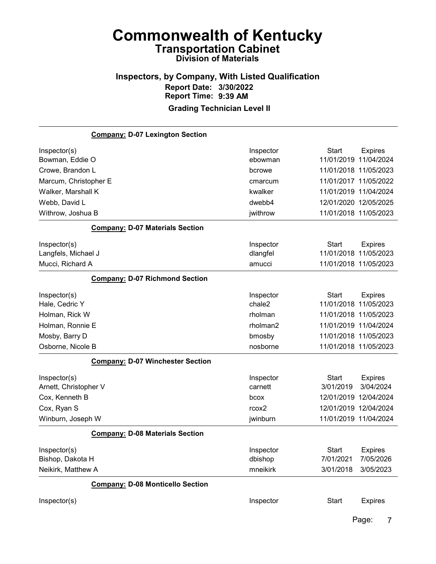#### Inspectors, by Company, With Listed Qualification Report Date: 3/30/2022 Report Time: 9:39 AM Grading Technician Level II

Company: D-07 Lexington Section Inspector(s) **Inspector** Start Expires Bowman, Eddie O ebowman 11/01/2019 11/04/2024 Crowe, Brandon L bcrowe 11/01/2018 11/05/2023 Marcum, Christopher E cmarcum 11/01/2017 11/05/2022 Walker, Marshall K kwalker 11/01/2019 11/04/2024 Webb, David L<br>  $d$ webb4 12/01/2020 12/05/2025 Withrow, Joshua B jwithrow 11/01/2018 11/05/2023 Company: D-07 Materials Section Inspector(s) **Inspector** Start Expires Langfels, Michael J dlangfel 11/01/2018 11/05/2023 Mucci, Richard A amucci 11/01/2018 11/05/2023 Company: D-07 Richmond Section Inspector(s) **Inspector** Start Expires Hale, Cedric Y chale2 11/01/2018 11/05/2023 Holman, Rick W rholman 11/01/2018 11/05/2023 Holman, Ronnie E rholman2 11/01/2019 11/04/2024 Mosby, Barry D bmosby 11/01/2018 11/05/2023 Osborne, Nicole B nosborne 11/01/2018 11/05/2023 Company: D-07 Winchester Section Inspector(s) **Inspector** Start Expires Arnett, Christopher V carnett 3/01/2019 3/04/2024 Cox, Kenneth B bcox 12/01/2019 12/04/2024 Cox, Ryan S rcox2 12/01/2019 12/04/2024 Winburn, Joseph W jwinburn 11/01/2019 11/04/2024 Company: D-08 Materials Section Inspector(s) **Inspector** Start Expires Bishop, Dakota H dbishop 7/01/2021 7/05/2026 Neikirk, Matthew A mneikirk 3/01/2018 3/05/2023 Company: D-08 Monticello Section Inspector(s) **Inspector** Start Expires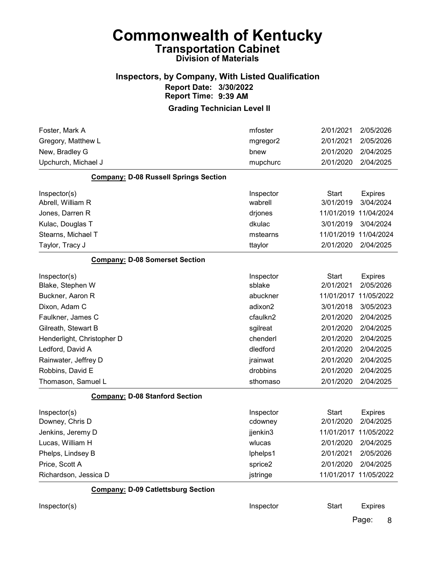#### Inspectors, by Company, With Listed Qualification Report Date: 3/30/2022 Report Time: 9:39 AM

#### Grading Technician Level II

| Foster, Mark A                               | mfoster   | 2/01/2021             | 2/05/2026      |
|----------------------------------------------|-----------|-----------------------|----------------|
| Gregory, Matthew L                           | mgregor2  | 2/01/2021             | 2/05/2026      |
| New, Bradley G                               | bnew      | 2/01/2020             | 2/04/2025      |
| Upchurch, Michael J                          | mupchurc  | 2/01/2020             | 2/04/2025      |
| <b>Company: D-08 Russell Springs Section</b> |           |                       |                |
| Inspector(s)                                 | Inspector | <b>Start</b>          | <b>Expires</b> |
| Abrell, William R                            | wabrell   | 3/01/2019             | 3/04/2024      |
| Jones, Darren R                              | drjones   | 11/01/2019            | 11/04/2024     |
| Kulac, Douglas T                             | dkulac    | 3/01/2019             | 3/04/2024      |
| Stearns, Michael T                           | mstearns  | 11/01/2019            | 11/04/2024     |
| Taylor, Tracy J                              | ttaylor   | 2/01/2020             | 2/04/2025      |
| <b>Company: D-08 Somerset Section</b>        |           |                       |                |
| Inspector(s)                                 | Inspector | <b>Start</b>          | <b>Expires</b> |
| Blake, Stephen W                             | sblake    | 2/01/2021             | 2/05/2026      |
| Buckner, Aaron R                             | abuckner  | 11/01/2017            | 11/05/2022     |
| Dixon, Adam C                                | adixon2   | 3/01/2018             | 3/05/2023      |
| Faulkner, James C                            | cfaulkn2  | 2/01/2020             | 2/04/2025      |
| Gilreath, Stewart B                          | sgilreat  | 2/01/2020             | 2/04/2025      |
| Henderlight, Christopher D                   | chenderl  | 2/01/2020             | 2/04/2025      |
| Ledford, David A                             | dledford  | 2/01/2020             | 2/04/2025      |
| Rainwater, Jeffrey D                         | jrainwat  | 2/01/2020             | 2/04/2025      |
| Robbins, David E                             | drobbins  | 2/01/2020             | 2/04/2025      |
| Thomason, Samuel L                           | sthomaso  | 2/01/2020             | 2/04/2025      |
| <b>Company: D-08 Stanford Section</b>        |           |                       |                |
| Inspector(s)                                 | Inspector | <b>Start</b>          | <b>Expires</b> |
| Downey, Chris D                              | cdowney   | 2/01/2020             | 2/04/2025      |
| Jenkins, Jeremy D                            | jjenkin3  | 11/01/2017            | 11/05/2022     |
| Lucas, William H                             | wlucas    | 2/01/2020             | 2/04/2025      |
| Phelps, Lindsey B                            | lphelps1  | 2/01/2021             | 2/05/2026      |
| Price, Scott A                               | sprice2   | 2/01/2020             | 2/04/2025      |
| Richardson, Jessica D                        | jstringe  | 11/01/2017 11/05/2022 |                |
| <b>Company: D-09 Catlettsburg Section</b>    |           |                       |                |
| Inspector(s)                                 | Inspector | <b>Start</b>          | <b>Expires</b> |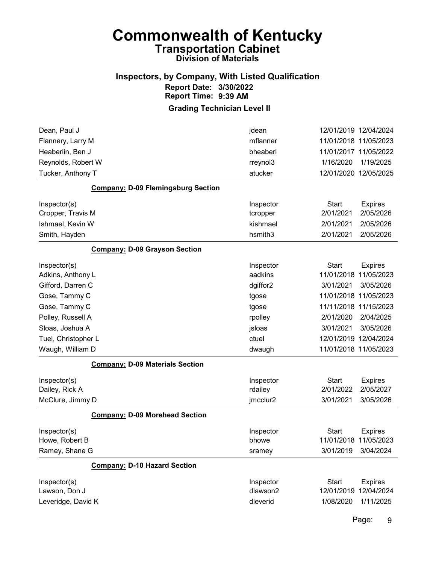#### Inspectors, by Company, With Listed Qualification Report Date: 3/30/2022 Report Time: 9:39 AM

Grading Technician Level II

| Dean, Paul J                              | jdean     | 12/01/2019 12/04/2024 |                       |
|-------------------------------------------|-----------|-----------------------|-----------------------|
| Flannery, Larry M                         | mflanner  | 11/01/2018 11/05/2023 |                       |
| Heaberlin, Ben J                          | bheaberl  |                       | 11/01/2017 11/05/2022 |
| Reynolds, Robert W                        | rreynol3  | 1/16/2020             | 1/19/2025             |
| Tucker, Anthony T                         | atucker   |                       | 12/01/2020 12/05/2025 |
| <b>Company: D-09 Flemingsburg Section</b> |           |                       |                       |
| Inspector(s)                              | Inspector | <b>Start</b>          | <b>Expires</b>        |
| Cropper, Travis M                         | tcropper  | 2/01/2021             | 2/05/2026             |
| Ishmael, Kevin W                          | kishmael  | 2/01/2021             | 2/05/2026             |
| Smith, Hayden                             | hsmith3   | 2/01/2021             | 2/05/2026             |
| <b>Company: D-09 Grayson Section</b>      |           |                       |                       |
| Inspector(s)                              | Inspector | <b>Start</b>          | <b>Expires</b>        |
| Adkins, Anthony L                         | aadkins   | 11/01/2018            | 11/05/2023            |
| Gifford, Darren C                         | dgiffor2  | 3/01/2021             | 3/05/2026             |
| Gose, Tammy C                             | tgose     | 11/01/2018            | 11/05/2023            |
| Gose, Tammy C                             | tgose     | 11/11/2018            | 11/15/2023            |
| Polley, Russell A                         | rpolley   | 2/01/2020             | 2/04/2025             |
| Sloas, Joshua A                           | jsloas    | 3/01/2021             | 3/05/2026             |
| Tuel, Christopher L                       | ctuel     | 12/01/2019 12/04/2024 |                       |
| Waugh, William D                          | dwaugh    |                       | 11/01/2018 11/05/2023 |
| <b>Company: D-09 Materials Section</b>    |           |                       |                       |
| Inspector(s)                              | Inspector | <b>Start</b>          | <b>Expires</b>        |
| Dailey, Rick A                            | rdailey   | 2/01/2022             | 2/05/2027             |
| McClure, Jimmy D                          | jmcclur2  | 3/01/2021             | 3/05/2026             |
| <b>Company: D-09 Morehead Section</b>     |           |                       |                       |
| Inspector(s)                              | Inspector | <b>Start</b>          | <b>Expires</b>        |
| Howe, Robert B                            | bhowe     | 11/01/2018            | 11/05/2023            |
| Ramey, Shane G                            | sramey    | 3/01/2019             | 3/04/2024             |
| <b>Company: D-10 Hazard Section</b>       |           |                       |                       |
| Inspector(s)                              | Inspector | <b>Start</b>          | <b>Expires</b>        |
| Lawson, Don J                             | dlawson2  | 12/01/2019            | 12/04/2024            |
| Leveridge, David K                        | dleverid  | 1/08/2020             | 1/11/2025             |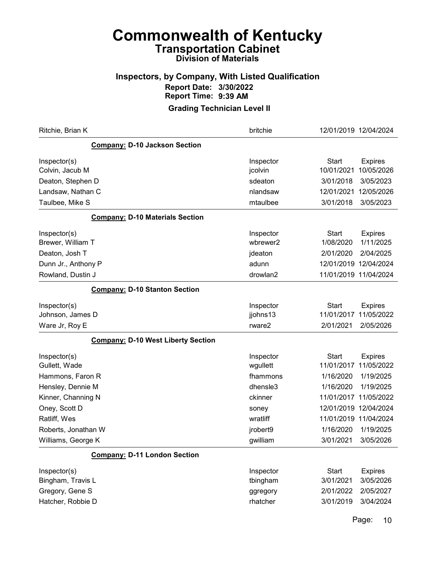#### Inspectors, by Company, With Listed Qualification Report Date: 3/30/2022 Report Time: 9:39 AM

Grading Technician Level II

| Ritchie, Brian K                          | britchie  | 12/01/2019 12/04/2024 |                |
|-------------------------------------------|-----------|-----------------------|----------------|
| <b>Company: D-10 Jackson Section</b>      |           |                       |                |
| Inspector(s)                              | Inspector | <b>Start</b>          | <b>Expires</b> |
| Colvin, Jacub M                           | jcolvin   | 10/01/2021            | 10/05/2026     |
| Deaton, Stephen D                         | sdeaton   | 3/01/2018             | 3/05/2023      |
| Landsaw, Nathan C                         | nlandsaw  | 12/01/2021            | 12/05/2026     |
| Taulbee, Mike S                           | mtaulbee  | 3/01/2018             | 3/05/2023      |
| <b>Company: D-10 Materials Section</b>    |           |                       |                |
| Inspector(s)                              | Inspector | <b>Start</b>          | <b>Expires</b> |
| Brewer, William T                         | wbrewer2  | 1/08/2020             | 1/11/2025      |
| Deaton, Josh T                            | jdeaton   | 2/01/2020             | 2/04/2025      |
| Dunn Jr., Anthony P                       | adunn     | 12/01/2019 12/04/2024 |                |
| Rowland, Dustin J                         | drowlan2  | 11/01/2019 11/04/2024 |                |
| <b>Company: D-10 Stanton Section</b>      |           |                       |                |
| Inspector(s)                              | Inspector | Start                 | <b>Expires</b> |
| Johnson, James D                          | jjohns13  | 11/01/2017            | 11/05/2022     |
| Ware Jr, Roy E                            | rware2    | 2/01/2021             | 2/05/2026      |
| <b>Company: D-10 West Liberty Section</b> |           |                       |                |
| Inspector(s)                              | Inspector | <b>Start</b>          | <b>Expires</b> |
| Gullett, Wade                             | wgullett  | 11/01/2017            | 11/05/2022     |
| Hammons, Faron R                          | fhammons  | 1/16/2020             | 1/19/2025      |
| Hensley, Dennie M                         | dhensle3  | 1/16/2020             | 1/19/2025      |
| Kinner, Channing N                        | ckinner   | 11/01/2017 11/05/2022 |                |
| Oney, Scott D                             | soney     | 12/01/2019 12/04/2024 |                |
| Ratliff, Wes                              | wratliff  | 11/01/2019 11/04/2024 |                |
| Roberts, Jonathan W                       | jrobert9  | 1/16/2020             | 1/19/2025      |
| Williams, George K                        | gwilliam  | 3/01/2021             | 3/05/2026      |
| <b>Company: D-11 London Section</b>       |           |                       |                |
| Inspector(s)                              | Inspector | <b>Start</b>          | <b>Expires</b> |
| Bingham, Travis L                         | tbingham  | 3/01/2021             | 3/05/2026      |
| Gregory, Gene S                           | ggregory  | 2/01/2022             | 2/05/2027      |
| Hatcher, Robbie D                         | rhatcher  | 3/01/2019             | 3/04/2024      |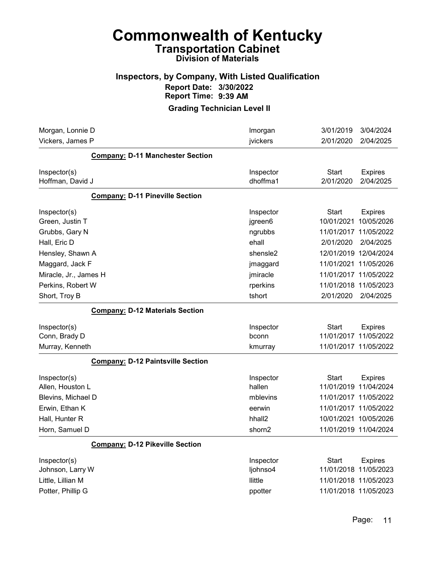#### Inspectors, by Company, With Listed Qualification Report Date: 3/30/2022 Report Time: 9:39 AM

| <b>Company: D-11 Manchester Section</b><br><b>Start</b><br>Inspector(s)<br>Inspector<br>dhoffma1<br>Hoffman, David J<br>2/01/2020<br><b>Company: D-11 Pineville Section</b><br><b>Start</b><br>Inspector(s)<br>Inspector<br>Green, Justin T<br>10/01/2021<br>jgreen6<br>11/01/2017 11/05/2022<br>Grubbs, Gary N<br>ngrubbs<br>ehall<br>Hall, Eric D<br>2/01/2020<br>12/01/2019 12/04/2024<br>Hensley, Shawn A<br>shensle2<br>Maggard, Jack F<br>11/01/2021 11/05/2026<br>jmaggard<br>11/01/2017 11/05/2022<br>Miracle, Jr., James H<br>jmiracle<br>Perkins, Robert W<br>rperkins<br>11/01/2018 11/05/2023<br>Short, Troy B<br>tshort<br>2/01/2020<br><b>Company: D-12 Materials Section</b><br><b>Start</b><br>Inspector(s)<br>Inspector<br>11/01/2017 11/05/2022<br>Conn, Brady D<br>bconn<br>11/01/2017 11/05/2022<br>Murray, Kenneth<br>kmurray<br><b>Company: D-12 Paintsville Section</b><br>Inspector<br>Inspector(s)<br>Start<br>hallen<br>11/01/2019 11/04/2024<br>Allen, Houston L<br>11/01/2017 11/05/2022<br>Blevins, Michael D<br>mblevins<br>Erwin, Ethan K<br>11/01/2017 11/05/2022<br>eerwin<br>Hall, Hunter R<br>hhall <sub>2</sub><br>10/01/2021 10/05/2026<br>Horn, Samuel D<br>11/01/2019 11/04/2024<br>shorn2<br><b>Company: D-12 Pikeville Section</b><br>Inspector(s)<br>Inspector<br><b>Start</b><br>Johnson, Larry W<br>ljohnso4<br>11/01/2018 11/05/2023<br>Little, Lillian M<br>llittle<br>11/01/2018 11/05/2023 | Morgan, Lonnie D<br>Vickers, James P | Imorgan<br>jvickers | 3/01/2019<br>2/01/2020 | 3/04/2024<br>2/04/2025       |
|--------------------------------------------------------------------------------------------------------------------------------------------------------------------------------------------------------------------------------------------------------------------------------------------------------------------------------------------------------------------------------------------------------------------------------------------------------------------------------------------------------------------------------------------------------------------------------------------------------------------------------------------------------------------------------------------------------------------------------------------------------------------------------------------------------------------------------------------------------------------------------------------------------------------------------------------------------------------------------------------------------------------------------------------------------------------------------------------------------------------------------------------------------------------------------------------------------------------------------------------------------------------------------------------------------------------------------------------------------------------------------------------------------------------------------------------|--------------------------------------|---------------------|------------------------|------------------------------|
|                                                                                                                                                                                                                                                                                                                                                                                                                                                                                                                                                                                                                                                                                                                                                                                                                                                                                                                                                                                                                                                                                                                                                                                                                                                                                                                                                                                                                                            |                                      |                     |                        |                              |
|                                                                                                                                                                                                                                                                                                                                                                                                                                                                                                                                                                                                                                                                                                                                                                                                                                                                                                                                                                                                                                                                                                                                                                                                                                                                                                                                                                                                                                            |                                      |                     |                        | <b>Expires</b><br>2/04/2025  |
|                                                                                                                                                                                                                                                                                                                                                                                                                                                                                                                                                                                                                                                                                                                                                                                                                                                                                                                                                                                                                                                                                                                                                                                                                                                                                                                                                                                                                                            |                                      |                     |                        |                              |
|                                                                                                                                                                                                                                                                                                                                                                                                                                                                                                                                                                                                                                                                                                                                                                                                                                                                                                                                                                                                                                                                                                                                                                                                                                                                                                                                                                                                                                            |                                      |                     |                        | <b>Expires</b><br>10/05/2026 |
|                                                                                                                                                                                                                                                                                                                                                                                                                                                                                                                                                                                                                                                                                                                                                                                                                                                                                                                                                                                                                                                                                                                                                                                                                                                                                                                                                                                                                                            |                                      |                     |                        |                              |
|                                                                                                                                                                                                                                                                                                                                                                                                                                                                                                                                                                                                                                                                                                                                                                                                                                                                                                                                                                                                                                                                                                                                                                                                                                                                                                                                                                                                                                            |                                      |                     |                        | 2/04/2025                    |
|                                                                                                                                                                                                                                                                                                                                                                                                                                                                                                                                                                                                                                                                                                                                                                                                                                                                                                                                                                                                                                                                                                                                                                                                                                                                                                                                                                                                                                            |                                      |                     |                        |                              |
|                                                                                                                                                                                                                                                                                                                                                                                                                                                                                                                                                                                                                                                                                                                                                                                                                                                                                                                                                                                                                                                                                                                                                                                                                                                                                                                                                                                                                                            |                                      |                     |                        |                              |
|                                                                                                                                                                                                                                                                                                                                                                                                                                                                                                                                                                                                                                                                                                                                                                                                                                                                                                                                                                                                                                                                                                                                                                                                                                                                                                                                                                                                                                            |                                      |                     |                        |                              |
|                                                                                                                                                                                                                                                                                                                                                                                                                                                                                                                                                                                                                                                                                                                                                                                                                                                                                                                                                                                                                                                                                                                                                                                                                                                                                                                                                                                                                                            |                                      |                     |                        |                              |
|                                                                                                                                                                                                                                                                                                                                                                                                                                                                                                                                                                                                                                                                                                                                                                                                                                                                                                                                                                                                                                                                                                                                                                                                                                                                                                                                                                                                                                            |                                      |                     |                        | 2/04/2025                    |
|                                                                                                                                                                                                                                                                                                                                                                                                                                                                                                                                                                                                                                                                                                                                                                                                                                                                                                                                                                                                                                                                                                                                                                                                                                                                                                                                                                                                                                            |                                      |                     |                        |                              |
|                                                                                                                                                                                                                                                                                                                                                                                                                                                                                                                                                                                                                                                                                                                                                                                                                                                                                                                                                                                                                                                                                                                                                                                                                                                                                                                                                                                                                                            |                                      |                     |                        | <b>Expires</b>               |
|                                                                                                                                                                                                                                                                                                                                                                                                                                                                                                                                                                                                                                                                                                                                                                                                                                                                                                                                                                                                                                                                                                                                                                                                                                                                                                                                                                                                                                            |                                      |                     |                        |                              |
|                                                                                                                                                                                                                                                                                                                                                                                                                                                                                                                                                                                                                                                                                                                                                                                                                                                                                                                                                                                                                                                                                                                                                                                                                                                                                                                                                                                                                                            |                                      |                     |                        |                              |
|                                                                                                                                                                                                                                                                                                                                                                                                                                                                                                                                                                                                                                                                                                                                                                                                                                                                                                                                                                                                                                                                                                                                                                                                                                                                                                                                                                                                                                            |                                      |                     |                        | <b>Expires</b>               |
|                                                                                                                                                                                                                                                                                                                                                                                                                                                                                                                                                                                                                                                                                                                                                                                                                                                                                                                                                                                                                                                                                                                                                                                                                                                                                                                                                                                                                                            |                                      |                     |                        |                              |
|                                                                                                                                                                                                                                                                                                                                                                                                                                                                                                                                                                                                                                                                                                                                                                                                                                                                                                                                                                                                                                                                                                                                                                                                                                                                                                                                                                                                                                            |                                      |                     |                        |                              |
|                                                                                                                                                                                                                                                                                                                                                                                                                                                                                                                                                                                                                                                                                                                                                                                                                                                                                                                                                                                                                                                                                                                                                                                                                                                                                                                                                                                                                                            |                                      |                     |                        |                              |
|                                                                                                                                                                                                                                                                                                                                                                                                                                                                                                                                                                                                                                                                                                                                                                                                                                                                                                                                                                                                                                                                                                                                                                                                                                                                                                                                                                                                                                            |                                      |                     |                        |                              |
|                                                                                                                                                                                                                                                                                                                                                                                                                                                                                                                                                                                                                                                                                                                                                                                                                                                                                                                                                                                                                                                                                                                                                                                                                                                                                                                                                                                                                                            |                                      |                     |                        |                              |
| 11/01/2018 11/05/2023                                                                                                                                                                                                                                                                                                                                                                                                                                                                                                                                                                                                                                                                                                                                                                                                                                                                                                                                                                                                                                                                                                                                                                                                                                                                                                                                                                                                                      | Potter, Phillip G                    | ppotter             |                        | <b>Expires</b>               |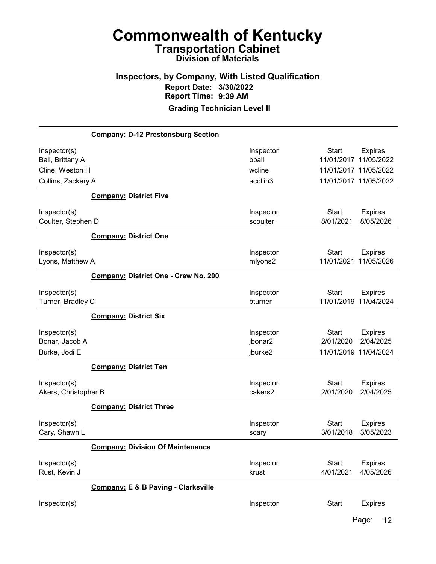# Inspectors, by Company, With Listed Qualification Report Date: 3/30/2022 Report Time: 9:39 AM

Grading Technician Level II

|                      | <b>Company: D-12 Prestonsburg Section</b>      |                 |                                                |                |
|----------------------|------------------------------------------------|-----------------|------------------------------------------------|----------------|
| Inspector(s)         |                                                | Inspector       | <b>Start</b>                                   | <b>Expires</b> |
| Ball, Brittany A     |                                                | bball<br>wcline | 11/01/2017                                     | 11/05/2022     |
| Cline, Weston H      |                                                | acollin3        | 11/01/2017 11/05/2022<br>11/01/2017 11/05/2022 |                |
| Collins, Zackery A   |                                                |                 |                                                |                |
|                      | <b>Company: District Five</b>                  |                 |                                                |                |
| Inspector(s)         |                                                | Inspector       | <b>Start</b>                                   | <b>Expires</b> |
| Coulter, Stephen D   |                                                | scoulter        | 8/01/2021                                      | 8/05/2026      |
|                      | <b>Company: District One</b>                   |                 |                                                |                |
| Inspector(s)         |                                                | Inspector       | <b>Start</b>                                   | <b>Expires</b> |
| Lyons, Matthew A     |                                                | mlyons2         | 11/01/2021                                     | 11/05/2026     |
|                      | Company: District One - Crew No. 200           |                 |                                                |                |
| Inspector(s)         |                                                | Inspector       | <b>Start</b>                                   | <b>Expires</b> |
| Turner, Bradley C    |                                                | bturner         | 11/01/2019 11/04/2024                          |                |
|                      | <b>Company: District Six</b>                   |                 |                                                |                |
| Inspector(s)         |                                                | Inspector       | Start                                          | <b>Expires</b> |
| Bonar, Jacob A       |                                                | jbonar2         | 2/01/2020                                      | 2/04/2025      |
| Burke, Jodi E        |                                                | jburke2         | 11/01/2019 11/04/2024                          |                |
|                      | <b>Company: District Ten</b>                   |                 |                                                |                |
| Inspector(s)         |                                                | Inspector       | <b>Start</b>                                   | <b>Expires</b> |
| Akers, Christopher B |                                                | cakers2         | 2/01/2020                                      | 2/04/2025      |
|                      | <b>Company: District Three</b>                 |                 |                                                |                |
| Inspector(s)         |                                                | Inspector       | <b>Start</b>                                   | Expires        |
| Cary, Shawn L        |                                                | scary           | 3/01/2018                                      | 3/05/2023      |
|                      | <b>Company: Division Of Maintenance</b>        |                 |                                                |                |
| Inspector(s)         |                                                | Inspector       | <b>Start</b>                                   | <b>Expires</b> |
| Rust, Kevin J        |                                                | krust           | 4/01/2021                                      | 4/05/2026      |
|                      | <b>Company: E &amp; B Paving - Clarksville</b> |                 |                                                |                |
| Inspector(s)         |                                                | Inspector       | <b>Start</b>                                   | <b>Expires</b> |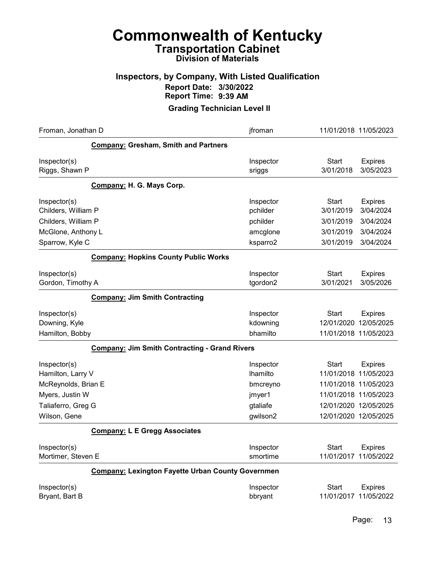#### Inspectors, by Company, With Listed Qualification Report Date: 3/30/2022 Report Time: 9:39 AM

| Froman, Jonathan D                                                                                                | jfroman                                                             | 11/01/2018 11/05/2023                                                                                                                                       |
|-------------------------------------------------------------------------------------------------------------------|---------------------------------------------------------------------|-------------------------------------------------------------------------------------------------------------------------------------------------------------|
| <b>Company: Gresham, Smith and Partners</b>                                                                       |                                                                     |                                                                                                                                                             |
| Inspector(s)<br>Riggs, Shawn P                                                                                    | Inspector<br>sriggs                                                 | <b>Start</b><br><b>Expires</b><br>3/01/2018<br>3/05/2023                                                                                                    |
| Company: H. G. Mays Corp.                                                                                         |                                                                     |                                                                                                                                                             |
| Inspector(s)<br>Childers, William P<br>Childers, William P                                                        | Inspector<br>pchilder<br>pchilder                                   | <b>Start</b><br><b>Expires</b><br>3/01/2019<br>3/04/2024<br>3/01/2019<br>3/04/2024                                                                          |
| McGlone, Anthony L<br>Sparrow, Kyle C                                                                             | amcglone<br>ksparro2                                                | 3/04/2024<br>3/01/2019<br>3/01/2019<br>3/04/2024                                                                                                            |
|                                                                                                                   |                                                                     |                                                                                                                                                             |
| <b>Company: Hopkins County Public Works</b>                                                                       |                                                                     |                                                                                                                                                             |
| Inspector(s)<br>Gordon, Timothy A                                                                                 | Inspector<br>tgordon2                                               | <b>Start</b><br><b>Expires</b><br>3/05/2026<br>3/01/2021                                                                                                    |
| <b>Company: Jim Smith Contracting</b>                                                                             |                                                                     |                                                                                                                                                             |
| Inspector(s)<br>Downing, Kyle<br>Hamilton, Bobby                                                                  | Inspector<br>kdowning<br>bhamilto                                   | <b>Start</b><br><b>Expires</b><br>12/05/2025<br>12/01/2020<br>11/01/2018 11/05/2023                                                                         |
| <b>Company: Jim Smith Contracting - Grand Rivers</b>                                                              |                                                                     |                                                                                                                                                             |
| Inspector(s)<br>Hamilton, Larry V<br>McReynolds, Brian E<br>Myers, Justin W<br>Taliaferro, Greg G<br>Wilson, Gene | Inspector<br>Ihamilto<br>bmcreyno<br>jmyer1<br>gtaliafe<br>gwilson2 | <b>Start</b><br><b>Expires</b><br>11/01/2018 11/05/2023<br>11/01/2018 11/05/2023<br>11/01/2018 11/05/2023<br>12/01/2020 12/05/2025<br>12/01/2020 12/05/2025 |
| <b>Company: L E Gregg Associates</b>                                                                              |                                                                     |                                                                                                                                                             |
| Inspector(s)<br>Mortimer, Steven E                                                                                | Inspector<br>smortime                                               | <b>Start</b><br><b>Expires</b><br>11/05/2022<br>11/01/2017                                                                                                  |
| <b>Company: Lexington Fayette Urban County Governmen</b>                                                          |                                                                     |                                                                                                                                                             |
| Inspector(s)<br>Bryant, Bart B                                                                                    | Inspector<br>bbryant                                                | <b>Start</b><br><b>Expires</b><br>11/05/2022<br>11/01/2017                                                                                                  |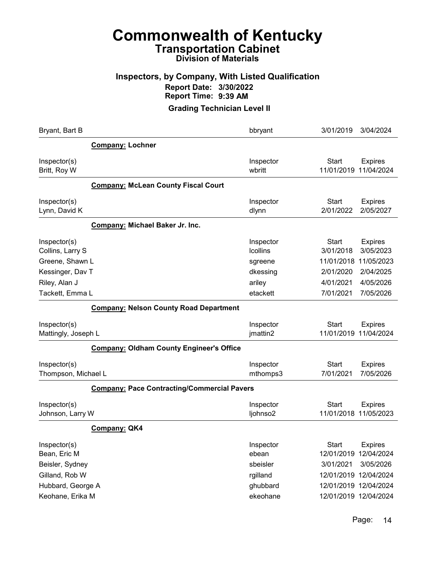#### Inspectors, by Company, With Listed Qualification Report Date: 3/30/2022 Report Time: 9:39 AM

| Bryant, Bart B                                      | bbryant                                 | 3/01/2019<br>3/04/2024                                                               |
|-----------------------------------------------------|-----------------------------------------|--------------------------------------------------------------------------------------|
| <b>Company: Lochner</b>                             |                                         |                                                                                      |
| Inspector(s)<br>Britt, Roy W                        | Inspector<br>wbritt                     | <b>Start</b><br><b>Expires</b><br>11/04/2024<br>11/01/2019                           |
| <b>Company: McLean County Fiscal Court</b>          |                                         |                                                                                      |
| Inspector(s)<br>Lynn, David K                       | Inspector<br>dlynn                      | <b>Start</b><br><b>Expires</b><br>2/01/2022<br>2/05/2027                             |
| Company: Michael Baker Jr. Inc.                     |                                         |                                                                                      |
| Inspector(s)<br>Collins, Larry S<br>Greene, Shawn L | Inspector<br><b>Icollins</b><br>sgreene | <b>Start</b><br><b>Expires</b><br>3/01/2018<br>3/05/2023<br>11/05/2023<br>11/01/2018 |
| Kessinger, Dav T                                    | dkessing                                | 2/01/2020<br>2/04/2025                                                               |
| Riley, Alan J                                       | ariley                                  | 4/01/2021<br>4/05/2026                                                               |
| Tackett, Emma L                                     | etackett                                | 7/01/2021<br>7/05/2026                                                               |
| <b>Company: Nelson County Road Department</b>       |                                         |                                                                                      |
| Inspector(s)<br>Mattingly, Joseph L                 | Inspector<br>jmattin2                   | <b>Start</b><br><b>Expires</b><br>11/04/2024<br>11/01/2019                           |
| <b>Company: Oldham County Engineer's Office</b>     |                                         |                                                                                      |
| Inspector(s)<br>Thompson, Michael L                 | Inspector<br>mthomps3                   | <b>Start</b><br><b>Expires</b><br>7/05/2026<br>7/01/2021                             |
| <b>Company: Pace Contracting/Commercial Pavers</b>  |                                         |                                                                                      |
| Inspector(s)<br>Johnson, Larry W                    | Inspector<br>ljohnso2                   | <b>Start</b><br><b>Expires</b><br>11/01/2018 11/05/2023                              |
| Company: QK4                                        |                                         |                                                                                      |
| Inspector(s)<br>Bean, Eric M                        | Inspector<br>ebean<br>sbeisler          | <b>Start</b><br><b>Expires</b><br>12/01/2019<br>12/04/2024                           |
| Beisler, Sydney<br>Gilland, Rob W                   | rgilland                                | 3/01/2021<br>3/05/2026<br>12/01/2019 12/04/2024                                      |
| Hubbard, George A                                   | ghubbard                                | 12/01/2019 12/04/2024                                                                |
| Keohane, Erika M                                    | ekeohane                                | 12/01/2019 12/04/2024                                                                |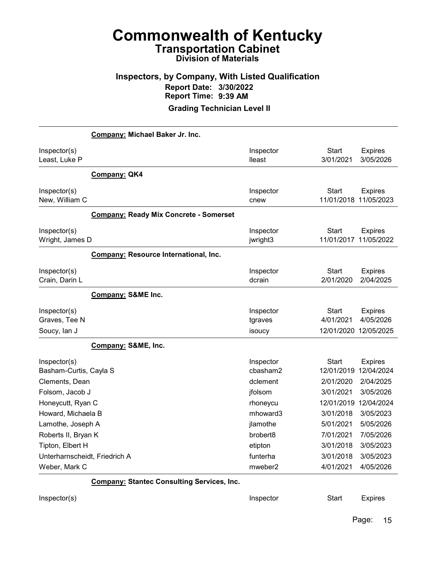#### Inspectors, by Company, With Listed Qualification Report Date: 3/30/2022 Report Time: 9:39 AM

Grading Technician Level II

|                                                   | Company: Michael Baker Jr. Inc.                   |                                  |                            |                                         |
|---------------------------------------------------|---------------------------------------------------|----------------------------------|----------------------------|-----------------------------------------|
| Inspector(s)<br>Least, Luke P                     |                                                   | Inspector<br>lleast              | <b>Start</b><br>3/01/2021  | <b>Expires</b><br>3/05/2026             |
|                                                   | <b>Company: QK4</b>                               |                                  |                            |                                         |
| Inspector(s)<br>New, William C                    |                                                   | Inspector<br>cnew                | <b>Start</b>               | <b>Expires</b><br>11/01/2018 11/05/2023 |
|                                                   | <b>Company: Ready Mix Concrete - Somerset</b>     |                                  |                            |                                         |
| Inspector(s)<br>Wright, James D                   |                                                   | Inspector<br>jwright3            | <b>Start</b>               | <b>Expires</b><br>11/01/2017 11/05/2022 |
|                                                   | <b>Company: Resource International, Inc.</b>      |                                  |                            |                                         |
| Inspector(s)<br>Crain, Darin L                    |                                                   | Inspector<br>dcrain              | Start<br>2/01/2020         | <b>Expires</b><br>2/04/2025             |
|                                                   | <b>Company: S&amp;ME Inc.</b>                     |                                  |                            |                                         |
| Inspector(s)<br>Graves, Tee N                     |                                                   | Inspector<br>tgraves             | Start<br>4/01/2021         | <b>Expires</b><br>4/05/2026             |
| Soucy, lan J                                      |                                                   | isoucy                           |                            | 12/01/2020 12/05/2025                   |
|                                                   | Company: S&ME, Inc.                               |                                  |                            |                                         |
| Inspector(s)<br>Basham-Curtis, Cayla S            |                                                   | Inspector<br>cbasham2            | <b>Start</b><br>12/01/2019 | <b>Expires</b><br>12/04/2024            |
| Clements, Dean                                    |                                                   | dclement                         | 2/01/2020                  | 2/04/2025                               |
| Folsom, Jacob J                                   |                                                   | jfolsom                          | 3/01/2021                  | 3/05/2026                               |
| Honeycutt, Ryan C                                 |                                                   | rhoneycu                         | 12/01/2019                 | 12/04/2024                              |
| Howard, Michaela B                                |                                                   | mhoward3                         | 3/01/2018                  | 3/05/2023                               |
| Lamothe, Joseph A                                 |                                                   | jlamothe<br>brobert <sub>8</sub> | 5/01/2021                  | 5/05/2026                               |
| Roberts II, Bryan K                               |                                                   |                                  | 7/01/2021<br>3/01/2018     | 7/05/2026<br>3/05/2023                  |
| Tipton, Elbert H<br>Unterharnscheidt, Friedrich A |                                                   | etipton<br>funterha              | 3/01/2018                  | 3/05/2023                               |
| Weber, Mark C                                     |                                                   | mweber <sub>2</sub>              | 4/01/2021                  | 4/05/2026                               |
|                                                   | <b>Company: Stantec Consulting Services, Inc.</b> |                                  |                            |                                         |
|                                                   |                                                   |                                  |                            |                                         |

Inspector(s) **Inspector** Start Expires